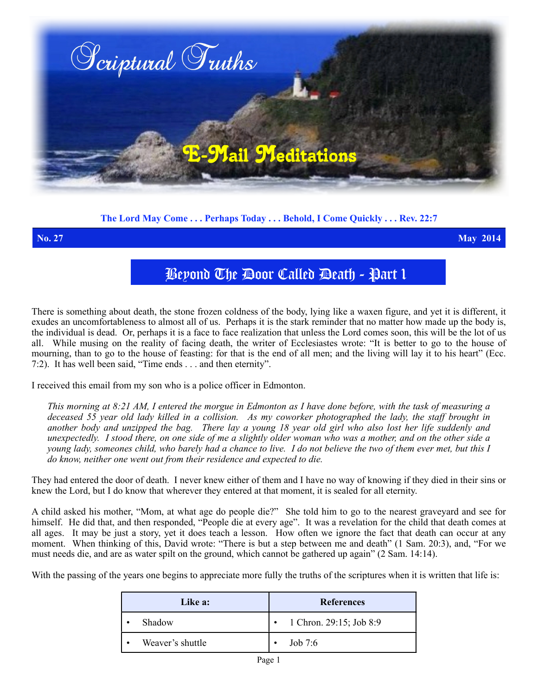

**The Lord May Come . . . Perhaps Today . . . Behold, I Come Quickly . . . Rev. 22:7**

**No. 27 May 2014**

## Beyond The Door Called Death - Part 1

There is something about death, the stone frozen coldness of the body, lying like a waxen figure, and yet it is different, it exudes an uncomfortableness to almost all of us. Perhaps it is the stark reminder that no matter how made up the body is, the individual is dead. Or, perhaps it is a face to face realization that unless the Lord comes soon, this will be the lot of us all. While musing on the reality of facing death, the writer of Ecclesiastes wrote: "It is better to go to the house of mourning, than to go to the house of feasting: for that is the end of all men; and the living will lay it to his heart" (Ecc. 7:2). It has well been said, "Time ends . . . and then eternity".

I received this email from my son who is a police officer in Edmonton.

*This morning at 8:21 AM, I entered the morgue in Edmonton as I have done before, with the task of measuring a deceased 55 year old lady killed in a collision. As my coworker photographed the lady, the staff brought in another body and unzipped the bag. There lay a young 18 year old girl who also lost her life suddenly and unexpectedly. I stood there, on one side of me a slightly older woman who was a mother, and on the other side a young lady, someones child, who barely had a chance to live. I do not believe the two of them ever met, but this I do know, neither one went out from their residence and expected to die.* 

They had entered the door of death. I never knew either of them and I have no way of knowing if they died in their sins or knew the Lord, but I do know that wherever they entered at that moment, it is sealed for all eternity.

A child asked his mother, "Mom, at what age do people die?" She told him to go to the nearest graveyard and see for himself. He did that, and then responded, "People die at every age". It was a revelation for the child that death comes at all ages. It may be just a story, yet it does teach a lesson. How often we ignore the fact that death can occur at any moment. When thinking of this, David wrote: "There is but a step between me and death" (1 Sam. 20:3), and, "For we must needs die, and are as water spilt on the ground, which cannot be gathered up again" (2 Sam. 14:14).

With the passing of the years one begins to appreciate more fully the truths of the scriptures when it is written that life is:

| Like a:          | <b>References</b>       |
|------------------|-------------------------|
| Shadow           | 1 Chron. 29:15; Job 8:9 |
| Weaver's shuttle | Job $7:6$               |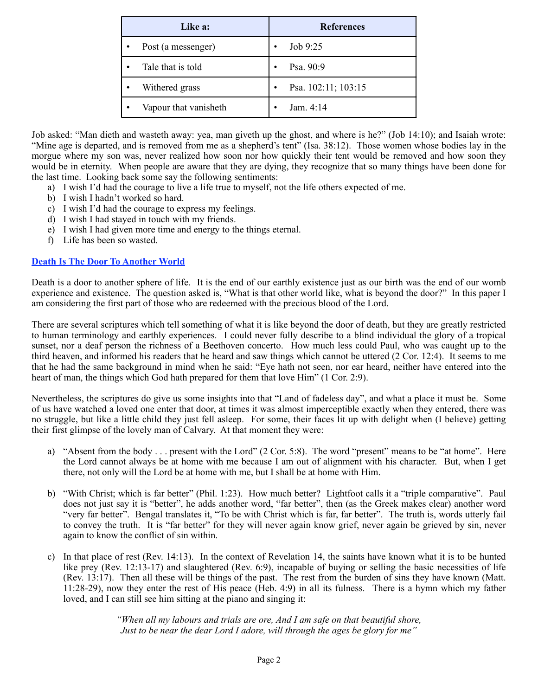| Like a:                            | <b>References</b>   |
|------------------------------------|---------------------|
| Post (a messenger)<br>$\bullet$    | Job 9:25            |
| Tale that is told<br>$\bullet$     | Psa. 90:9           |
| Withered grass<br>$\bullet$        | Psa. 102:11; 103:15 |
| Vapour that vanisheth<br>$\bullet$ | Jam. $4:14$         |

Job asked: "Man dieth and wasteth away: yea, man giveth up the ghost, and where is he?" (Job 14:10); and Isaiah wrote: "Mine age is departed, and is removed from me as a shepherd's tent" (Isa. 38:12). Those women whose bodies lay in the morgue where my son was, never realized how soon nor how quickly their tent would be removed and how soon they would be in eternity. When people are aware that they are dying, they recognize that so many things have been done for the last time. Looking back some say the following sentiments:

- a) I wish I'd had the courage to live a life true to myself, not the life others expected of me.
- b) I wish I hadn't worked so hard.
- c) I wish I'd had the courage to express my feelings.
- d) I wish I had stayed in touch with my friends.
- e) I wish I had given more time and energy to the things eternal.
- f) Life has been so wasted.

## **Death Is The Door To Another World**

Death is a door to another sphere of life. It is the end of our earthly existence just as our birth was the end of our womb experience and existence. The question asked is, "What is that other world like, what is beyond the door?" In this paper I am considering the first part of those who are redeemed with the precious blood of the Lord.

There are several scriptures which tell something of what it is like beyond the door of death, but they are greatly restricted to human terminology and earthly experiences. I could never fully describe to a blind individual the glory of a tropical sunset, nor a deaf person the richness of a Beethoven concerto. How much less could Paul, who was caught up to the third heaven, and informed his readers that he heard and saw things which cannot be uttered (2 Cor. 12:4). It seems to me that he had the same background in mind when he said: "Eye hath not seen, nor ear heard, neither have entered into the heart of man, the things which God hath prepared for them that love Him" (1 Cor. 2:9).

Nevertheless, the scriptures do give us some insights into that "Land of fadeless day", and what a place it must be. Some of us have watched a loved one enter that door, at times it was almost imperceptible exactly when they entered, there was no struggle, but like a little child they just fell asleep. For some, their faces lit up with delight when (I believe) getting their first glimpse of the lovely man of Calvary. At that moment they were:

- a) "Absent from the body . . . present with the Lord" (2 Cor. 5:8). The word "present" means to be "at home". Here the Lord cannot always be at home with me because I am out of alignment with his character. But, when I get there, not only will the Lord be at home with me, but I shall be at home with Him.
- b) "With Christ; which is far better" (Phil. 1:23). How much better? Lightfoot calls it a "triple comparative". Paul does not just say it is "better", he adds another word, "far better", then (as the Greek makes clear) another word "very far better". Bengal translates it, "To be with Christ which is far, far better". The truth is, words utterly fail to convey the truth. It is "far better" for they will never again know grief, never again be grieved by sin, never again to know the conflict of sin within.
- c) In that place of rest (Rev. 14:13). In the context of Revelation 14, the saints have known what it is to be hunted like prey (Rev. 12:13-17) and slaughtered (Rev. 6:9), incapable of buying or selling the basic necessities of life (Rev. 13:17). Then all these will be things of the past. The rest from the burden of sins they have known (Matt. 11:28-29), now they enter the rest of His peace (Heb. 4:9) in all its fulness. There is a hymn which my father loved, and I can still see him sitting at the piano and singing it:

*"When all my labours and trials are ore, And I am safe on that beautiful shore, Just to be near the dear Lord I adore, will through the ages be glory for me"*